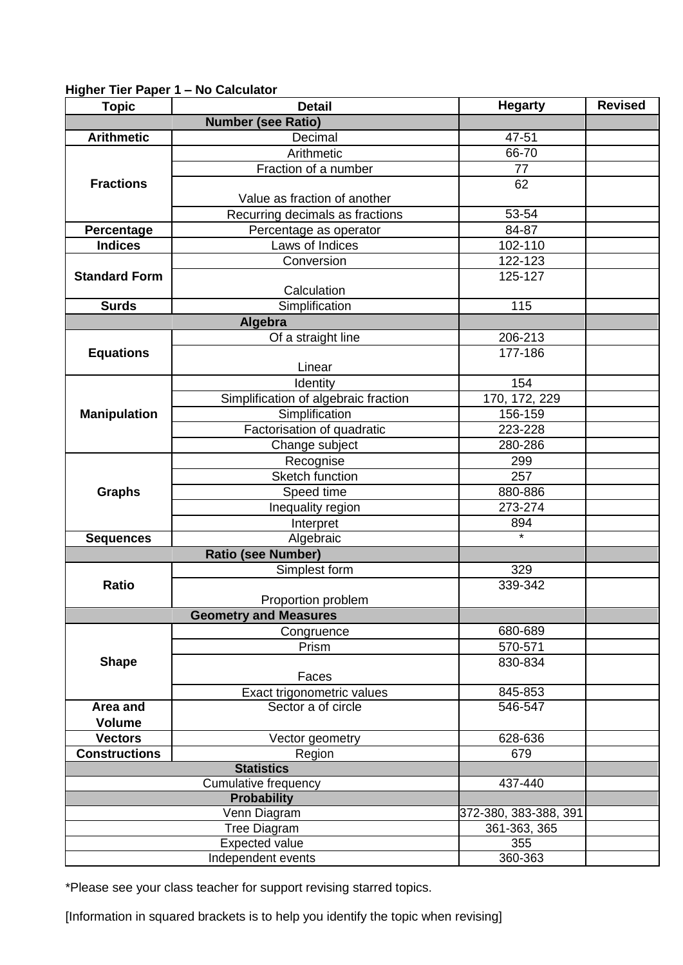## **Higher Tier Paper 1 – No Calculator**

| <b>Topic</b>                | <b>Detail</b>                        | <b>Hegarty</b>        | <b>Revised</b> |
|-----------------------------|--------------------------------------|-----------------------|----------------|
|                             | <b>Number (see Ratio)</b>            |                       |                |
| <b>Arithmetic</b>           | Decimal                              | 47-51                 |                |
|                             | Arithmetic                           | 66-70                 |                |
|                             | Fraction of a number                 | 77                    |                |
| <b>Fractions</b>            |                                      | 62                    |                |
|                             | Value as fraction of another         |                       |                |
|                             | Recurring decimals as fractions      | 53-54                 |                |
| Percentage                  | Percentage as operator               | 84-87                 |                |
| <b>Indices</b>              | Laws of Indices                      | 102-110               |                |
| <b>Standard Form</b>        | Conversion                           | 122-123               |                |
|                             |                                      | 125-127               |                |
|                             | Calculation                          |                       |                |
| <b>Surds</b>                | Simplification                       | 115                   |                |
|                             | Algebra                              |                       |                |
|                             | Of a straight line                   | 206-213               |                |
| <b>Equations</b>            |                                      | 177-186               |                |
|                             | Linear                               |                       |                |
|                             | Identity                             | 154                   |                |
|                             | Simplification of algebraic fraction | 170, 172, 229         |                |
| <b>Manipulation</b>         | Simplification                       | 156-159               |                |
|                             | Factorisation of quadratic           | 223-228               |                |
|                             | Change subject                       | 280-286               |                |
|                             | Recognise                            | 299                   |                |
|                             | Sketch function                      | 257                   |                |
| <b>Graphs</b>               | Speed time                           | 880-886               |                |
|                             | Inequality region                    | 273-274               |                |
|                             | Interpret                            | 894                   |                |
| <b>Sequences</b>            | Algebraic                            |                       |                |
|                             | <b>Ratio (see Number)</b>            |                       |                |
|                             | Simplest form                        | 329                   |                |
| <b>Ratio</b>                |                                      | $339 - 342$           |                |
|                             | Proportion problem                   |                       |                |
|                             | <b>Geometry and Measures</b>         |                       |                |
|                             | Congruence                           | 680-689               |                |
|                             | Prism                                | 570-571               |                |
| <b>Shape</b>                |                                      | 830-834               |                |
|                             | Faces                                |                       |                |
|                             | Exact trigonometric values           | 845-853               |                |
| <b>Area and</b>             | Sector a of circle                   | 546-547               |                |
| <b>Volume</b>               |                                      |                       |                |
| <b>Vectors</b>              | Vector geometry                      | 628-636               |                |
| <b>Constructions</b>        | Region<br><b>Statistics</b>          | 679                   |                |
| <b>Cumulative frequency</b> |                                      | 437-440               |                |
| <b>Probability</b>          |                                      |                       |                |
|                             | Venn Diagram                         | 372-380, 383-388, 391 |                |
|                             | Tree Diagram                         | 361-363, 365          |                |
| <b>Expected value</b>       |                                      | 355                   |                |
| Independent events          |                                      | $360 - 363$           |                |
|                             |                                      |                       |                |

\*Please see your class teacher for support revising starred topics.

[Information in squared brackets is to help you identify the topic when revising]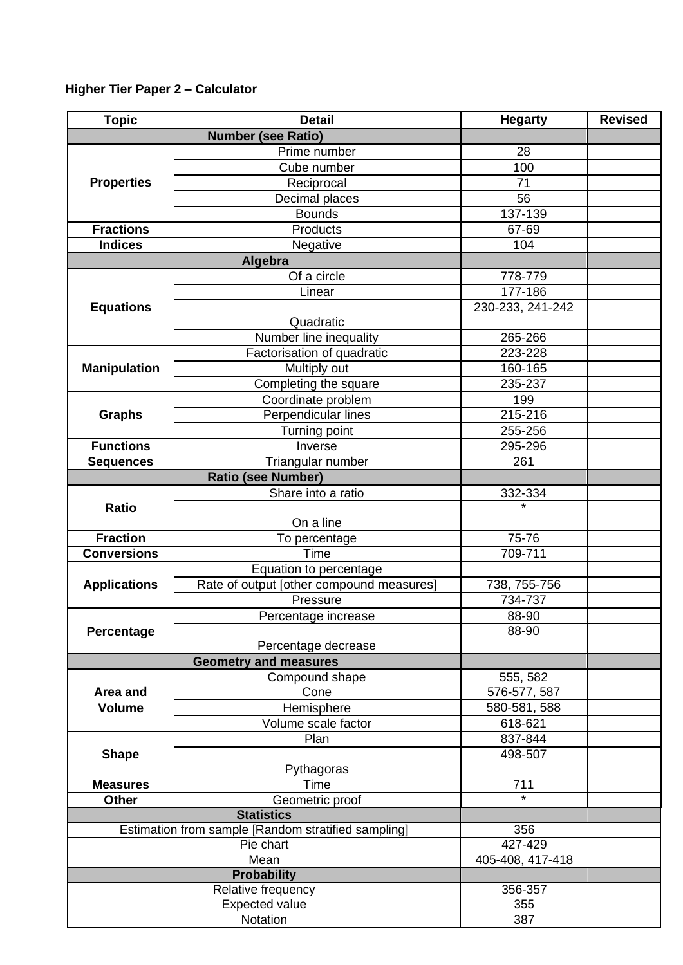## **Higher Tier Paper 2 – Calculator**

| <b>Topic</b>                                        | <b>Detail</b>                            | <b>Hegarty</b>   | <b>Revised</b> |
|-----------------------------------------------------|------------------------------------------|------------------|----------------|
|                                                     | <b>Number (see Ratio)</b>                |                  |                |
|                                                     | Prime number                             | 28               |                |
|                                                     | Cube number                              | 100              |                |
| <b>Properties</b>                                   | Reciprocal                               | 71               |                |
|                                                     | Decimal places                           | 56               |                |
|                                                     | <b>Bounds</b>                            | 137-139          |                |
| <b>Fractions</b>                                    | Products                                 | 67-69            |                |
| <b>Indices</b>                                      | Negative                                 | 104              |                |
|                                                     | Algebra                                  |                  |                |
|                                                     | Of a circle                              | 778-779          |                |
|                                                     | Linear                                   | 177-186          |                |
| <b>Equations</b>                                    |                                          | 230-233, 241-242 |                |
|                                                     | Quadratic                                |                  |                |
|                                                     | Number line inequality                   | 265-266          |                |
|                                                     | Factorisation of quadratic               | 223-228          |                |
| <b>Manipulation</b>                                 | Multiply out                             | 160-165          |                |
|                                                     | Completing the square                    | 235-237          |                |
|                                                     | Coordinate problem                       | 199              |                |
| <b>Graphs</b>                                       | Perpendicular lines                      | 215-216          |                |
|                                                     | Turning point                            | 255-256          |                |
| <b>Functions</b>                                    | Inverse                                  | 295-296          |                |
| <b>Sequences</b>                                    | Triangular number                        | 261              |                |
|                                                     | <b>Ratio (see Number)</b>                |                  |                |
|                                                     | Share into a ratio                       | 332-334          |                |
| <b>Ratio</b>                                        |                                          | $\star$          |                |
|                                                     | On a line                                |                  |                |
| <b>Fraction</b>                                     | To percentage                            | 75-76            |                |
| <b>Conversions</b>                                  | Time                                     | 709-711          |                |
|                                                     | Equation to percentage                   |                  |                |
| <b>Applications</b>                                 | Rate of output [other compound measures] | 738, 755-756     |                |
|                                                     | Pressure                                 | 734-737          |                |
|                                                     | Percentage increase                      | 88-90            |                |
| Percentage                                          |                                          | 88-90            |                |
|                                                     | Percentage decrease                      |                  |                |
|                                                     | <b>Geometry and measures</b>             |                  |                |
|                                                     | Compound shape                           | 555, 582         |                |
| Area and                                            | Cone                                     | 576-577, 587     |                |
| <b>Volume</b>                                       | Hemisphere                               | 580-581, 588     |                |
|                                                     | Volume scale factor                      | 618-621          |                |
|                                                     | Plan                                     | 837-844          |                |
| <b>Shape</b>                                        |                                          | 498-507          |                |
|                                                     | Pythagoras                               |                  |                |
| <b>Measures</b>                                     | Time                                     | 711              |                |
| <b>Other</b>                                        | Geometric proof                          |                  |                |
|                                                     | <b>Statistics</b>                        |                  |                |
| Estimation from sample [Random stratified sampling] |                                          | 356              |                |
| Pie chart                                           |                                          | 427-429          |                |
| Mean                                                |                                          | 405-408, 417-418 |                |
|                                                     | <b>Probability</b>                       |                  |                |
| Relative frequency                                  |                                          | 356-357          |                |
| <b>Expected value</b>                               |                                          | 355<br>387       |                |
| Notation                                            |                                          |                  |                |